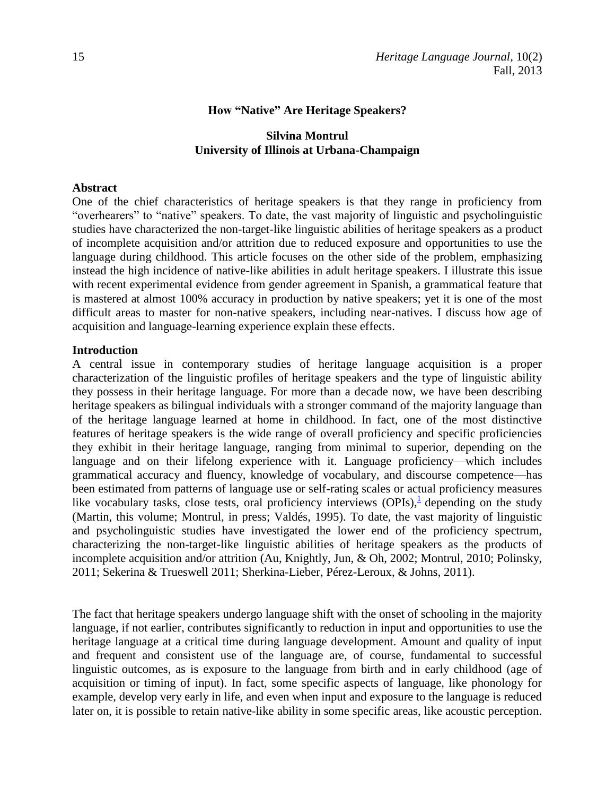# **How "Native" Are Heritage Speakers?**

#### **Silvina Montrul University of Illinois at Urbana-Champaign**

#### **Abstract**

One of the chief characteristics of heritage speakers is that they range in proficiency from "overhearers" to "native" speakers. To date, the vast majority of linguistic and psycholinguistic studies have characterized the non-target-like linguistic abilities of heritage speakers as a product of incomplete acquisition and/or attrition due to reduced exposure and opportunities to use the language during childhood. This article focuses on the other side of the problem, emphasizing instead the high incidence of native-like abilities in adult heritage speakers. I illustrate this issue with recent experimental evidence from gender agreement in Spanish, a grammatical feature that is mastered at almost 100% accuracy in production by native speakers; yet it is one of the most difficult areas to master for non-native speakers, including near-natives. I discuss how age of acquisition and language-learning experience explain these effects.

#### **Introduction**

A central issue in contemporary studies of heritage language acquisition is a proper characterization of the linguistic profiles of heritage speakers and the type of linguistic ability they possess in their heritage language. For more than a decade now, we have been describing heritage speakers as bilingual individuals with a stronger command of the majority language than of the heritage language learned at home in childhood. In fact, one of the most distinctive features of heritage speakers is the wide range of overall proficiency and specific proficiencies they exhibit in their heritage language, ranging from minimal to superior, depending on the language and on their lifelong experience with it. Language proficiency—which includes grammatical accuracy and fluency, knowledge of vocabulary, and discourse competence—has been estimated from patterns of language use or self-rating scales or actual proficiency measures like vocabulary tasks, close tests, oral proficiency interviews  $(OPIs)$ , depending on the study (Martin, this volume; Montrul, in press; Valdés, 1995). To date, the vast majority of linguistic and psycholinguistic studies have investigated the lower end of the proficiency spectrum, characterizing the non-target-like linguistic abilities of heritage speakers as the products of incomplete acquisition and/or attrition (Au, Knightly, Jun, & Oh, 2002; Montrul, 2010; Polinsky, 2011; Sekerina & Trueswell 2011; Sherkina-Lieber, Pérez-Leroux, & Johns, 2011).

The fact that heritage speakers undergo language shift with the onset of schooling in the majority language, if not earlier, contributes significantly to reduction in input and opportunities to use the heritage language at a critical time during language development. Amount and quality of input and frequent and consistent use of the language are, of course, fundamental to successful linguistic outcomes, as is exposure to the language from birth and in early childhood (age of acquisition or timing of input). In fact, some specific aspects of language, like phonology for example, develop very early in life, and even when input and exposure to the language is reduced later on, it is possible to retain native-like ability in some specific areas, like acoustic perception.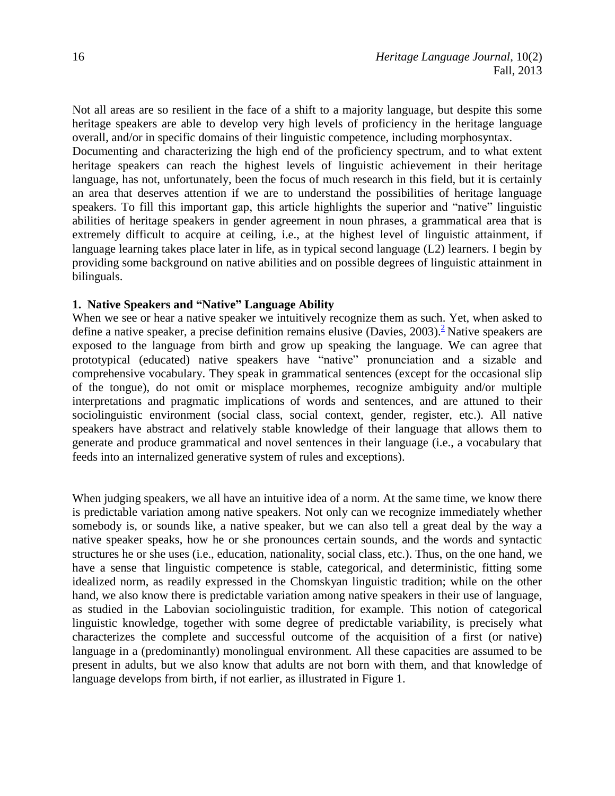Not all areas are so resilient in the face of a shift to a majority language, but despite this some heritage speakers are able to develop very high levels of proficiency in the heritage language overall, and/or in specific domains of their linguistic competence, including morphosyntax.

Documenting and characterizing the high end of the proficiency spectrum, and to what extent heritage speakers can reach the highest levels of linguistic achievement in their heritage language, has not, unfortunately, been the focus of much research in this field, but it is certainly an area that deserves attention if we are to understand the possibilities of heritage language speakers. To fill this important gap, this article highlights the superior and "native" linguistic abilities of heritage speakers in gender agreement in noun phrases, a grammatical area that is extremely difficult to acquire at ceiling, i.e., at the highest level of linguistic attainment, if language learning takes place later in life, as in typical second language (L2) learners. I begin by providing some background on native abilities and on possible degrees of linguistic attainment in bilinguals.

### **1. Native Speakers and "Native" Language Ability**

When we see or hear a native speaker we intuitively recognize them as such. Yet, when asked to define a native speaker, a precise definition remains elusive (Davies, [2](#page-24-1)003).<sup>2</sup> Native speakers are exposed to the language from birth and grow up speaking the language. We can agree that prototypical (educated) native speakers have "native" pronunciation and a sizable and comprehensive vocabulary. They speak in grammatical sentences (except for the occasional slip of the tongue), do not omit or misplace morphemes, recognize ambiguity and/or multiple interpretations and pragmatic implications of words and sentences, and are attuned to their sociolinguistic environment (social class, social context, gender, register, etc.). All native speakers have abstract and relatively stable knowledge of their language that allows them to generate and produce grammatical and novel sentences in their language (i.e., a vocabulary that feeds into an internalized generative system of rules and exceptions).

When judging speakers, we all have an intuitive idea of a norm. At the same time, we know there is predictable variation among native speakers. Not only can we recognize immediately whether somebody is, or sounds like, a native speaker, but we can also tell a great deal by the way a native speaker speaks, how he or she pronounces certain sounds, and the words and syntactic structures he or she uses (i.e., education, nationality, social class, etc.). Thus, on the one hand, we have a sense that linguistic competence is stable, categorical, and deterministic, fitting some idealized norm, as readily expressed in the Chomskyan linguistic tradition; while on the other hand, we also know there is predictable variation among native speakers in their use of language, as studied in the Labovian sociolinguistic tradition, for example. This notion of categorical linguistic knowledge, together with some degree of predictable variability, is precisely what characterizes the complete and successful outcome of the acquisition of a first (or native) language in a (predominantly) monolingual environment. All these capacities are assumed to be present in adults, but we also know that adults are not born with them, and that knowledge of language develops from birth, if not earlier, as illustrated in Figure 1.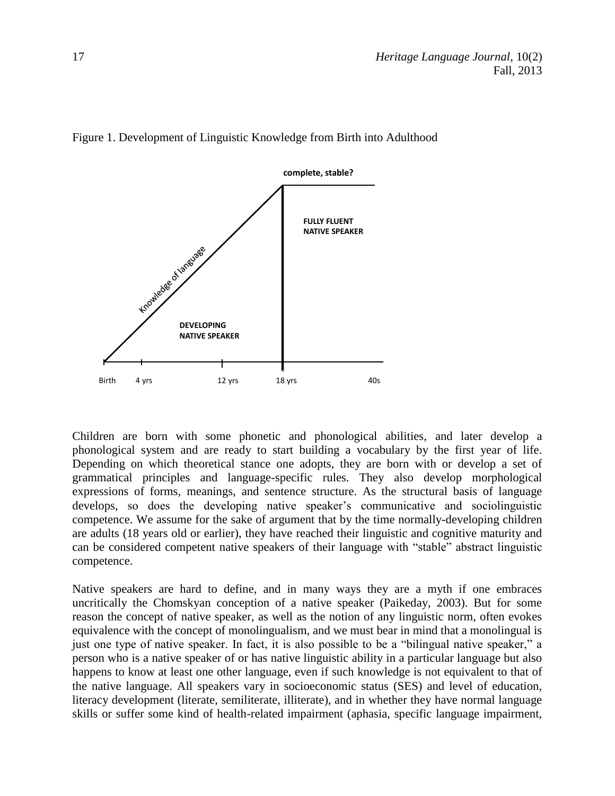

#### Figure 1. Development of Linguistic Knowledge from Birth into Adulthood

Children are born with some phonetic and phonological abilities, and later develop a phonological system and are ready to start building a vocabulary by the first year of life. Depending on which theoretical stance one adopts, they are born with or develop a set of grammatical principles and language-specific rules. They also develop morphological expressions of forms, meanings, and sentence structure. As the structural basis of language develops, so does the developing native speaker's communicative and sociolinguistic competence. We assume for the sake of argument that by the time normally-developing children are adults (18 years old or earlier), they have reached their linguistic and cognitive maturity and can be considered competent native speakers of their language with "stable" abstract linguistic competence.

Native speakers are hard to define, and in many ways they are a myth if one embraces uncritically the Chomskyan conception of a native speaker (Paikeday, 2003). But for some reason the concept of native speaker, as well as the notion of any linguistic norm, often evokes equivalence with the concept of monolingualism, and we must bear in mind that a monolingual is just one type of native speaker. In fact, it is also possible to be a "bilingual native speaker," a person who is a native speaker of or has native linguistic ability in a particular language but also happens to know at least one other language, even if such knowledge is not equivalent to that of the native language. All speakers vary in socioeconomic status (SES) and level of education, literacy development (literate, semiliterate, illiterate), and in whether they have normal language skills or suffer some kind of health-related impairment (aphasia, specific language impairment,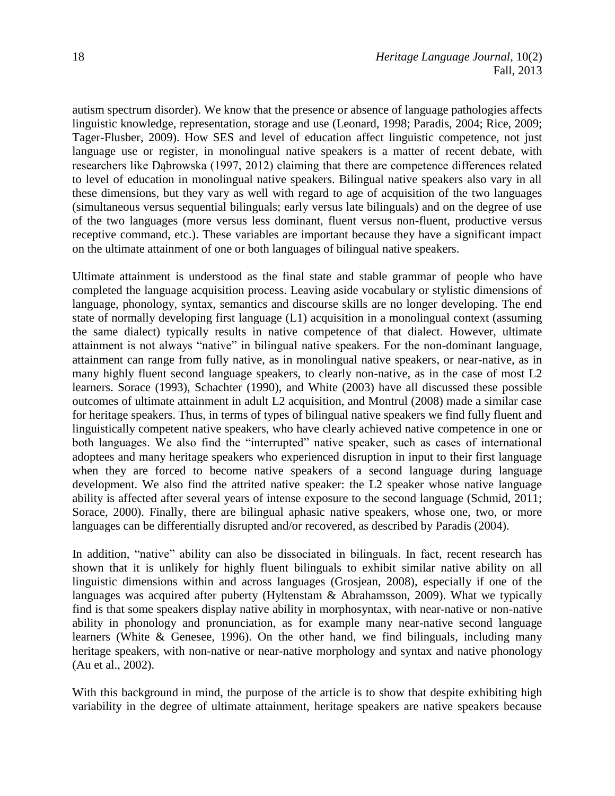autism spectrum disorder). We know that the presence or absence of language pathologies affects linguistic knowledge, representation, storage and use (Leonard, 1998; Paradis, 2004; Rice, 2009; Tager-Flusber, 2009). How SES and level of education affect linguistic competence, not just language use or register, in monolingual native speakers is a matter of recent debate, with researchers like Dąbrowska (1997, 2012) claiming that there are competence differences related to level of education in monolingual native speakers. Bilingual native speakers also vary in all these dimensions, but they vary as well with regard to age of acquisition of the two languages (simultaneous versus sequential bilinguals; early versus late bilinguals) and on the degree of use of the two languages (more versus less dominant, fluent versus non-fluent, productive versus receptive command, etc.). These variables are important because they have a significant impact on the ultimate attainment of one or both languages of bilingual native speakers.

Ultimate attainment is understood as the final state and stable grammar of people who have completed the language acquisition process. Leaving aside vocabulary or stylistic dimensions of language, phonology, syntax, semantics and discourse skills are no longer developing. The end state of normally developing first language (L1) acquisition in a monolingual context (assuming the same dialect) typically results in native competence of that dialect. However, ultimate attainment is not always "native" in bilingual native speakers. For the non-dominant language, attainment can range from fully native, as in monolingual native speakers, or near-native, as in many highly fluent second language speakers, to clearly non-native, as in the case of most L2 learners. Sorace (1993), Schachter (1990), and White (2003) have all discussed these possible outcomes of ultimate attainment in adult L2 acquisition, and Montrul (2008) made a similar case for heritage speakers. Thus, in terms of types of bilingual native speakers we find fully fluent and linguistically competent native speakers, who have clearly achieved native competence in one or both languages. We also find the "interrupted" native speaker, such as cases of international adoptees and many heritage speakers who experienced disruption in input to their first language when they are forced to become native speakers of a second language during language development. We also find the attrited native speaker: the L2 speaker whose native language ability is affected after several years of intense exposure to the second language (Schmid, 2011; Sorace, 2000). Finally, there are bilingual aphasic native speakers, whose one, two, or more languages can be differentially disrupted and/or recovered, as described by Paradis (2004).

In addition, "native" ability can also be dissociated in bilinguals. In fact, recent research has shown that it is unlikely for highly fluent bilinguals to exhibit similar native ability on all linguistic dimensions within and across languages (Grosjean, 2008), especially if one of the languages was acquired after puberty (Hyltenstam & Abrahamsson, 2009). What we typically find is that some speakers display native ability in morphosyntax, with near-native or non-native ability in phonology and pronunciation, as for example many near-native second language learners (White  $\&$  Genesee, 1996). On the other hand, we find bilinguals, including many heritage speakers, with non-native or near-native morphology and syntax and native phonology (Au et al., 2002).

With this background in mind, the purpose of the article is to show that despite exhibiting high variability in the degree of ultimate attainment, heritage speakers are native speakers because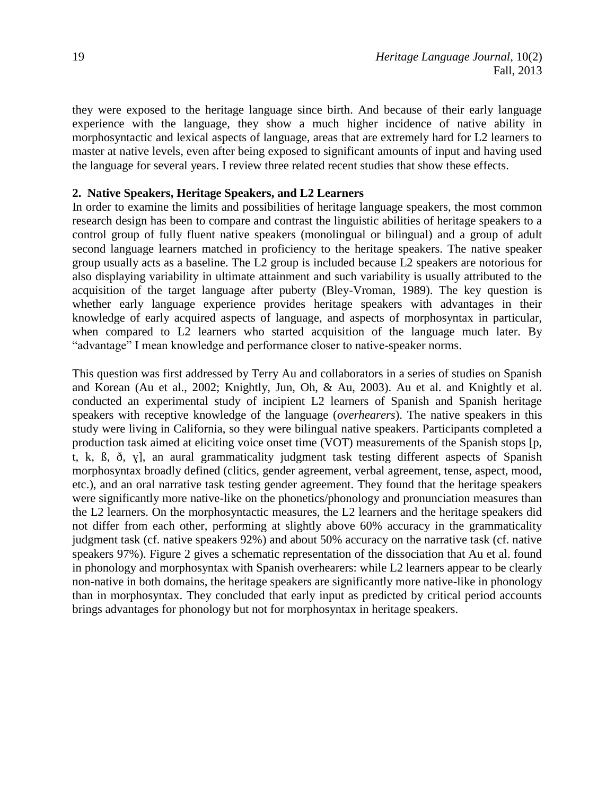they were exposed to the heritage language since birth. And because of their early language experience with the language, they show a much higher incidence of native ability in morphosyntactic and lexical aspects of language, areas that are extremely hard for L2 learners to master at native levels, even after being exposed to significant amounts of input and having used the language for several years. I review three related recent studies that show these effects.

### **2. Native Speakers, Heritage Speakers, and L2 Learners**

In order to examine the limits and possibilities of heritage language speakers, the most common research design has been to compare and contrast the linguistic abilities of heritage speakers to a control group of fully fluent native speakers (monolingual or bilingual) and a group of adult second language learners matched in proficiency to the heritage speakers. The native speaker group usually acts as a baseline. The L2 group is included because L2 speakers are notorious for also displaying variability in ultimate attainment and such variability is usually attributed to the acquisition of the target language after puberty (Bley-Vroman, 1989). The key question is whether early language experience provides heritage speakers with advantages in their knowledge of early acquired aspects of language, and aspects of morphosyntax in particular, when compared to L2 learners who started acquisition of the language much later. By "advantage" I mean knowledge and performance closer to native-speaker norms.

This question was first addressed by Terry Au and collaborators in a series of studies on Spanish and Korean (Au et al., 2002; Knightly, Jun, Oh, & Au, 2003). Au et al. and Knightly et al. conducted an experimental study of incipient L2 learners of Spanish and Spanish heritage speakers with receptive knowledge of the language (*overhearers*). The native speakers in this study were living in California, so they were bilingual native speakers. Participants completed a production task aimed at eliciting voice onset time (VOT) measurements of the Spanish stops [p, t, k, ß, ð, ɣ], an aural grammaticality judgment task testing different aspects of Spanish morphosyntax broadly defined (clitics, gender agreement, verbal agreement, tense, aspect, mood, etc.), and an oral narrative task testing gender agreement. They found that the heritage speakers were significantly more native-like on the phonetics/phonology and pronunciation measures than the L2 learners. On the morphosyntactic measures, the L2 learners and the heritage speakers did not differ from each other, performing at slightly above 60% accuracy in the grammaticality judgment task (cf. native speakers 92%) and about 50% accuracy on the narrative task (cf. native speakers 97%). Figure 2 gives a schematic representation of the dissociation that Au et al. found in phonology and morphosyntax with Spanish overhearers: while L2 learners appear to be clearly non-native in both domains, the heritage speakers are significantly more native-like in phonology than in morphosyntax. They concluded that early input as predicted by critical period accounts brings advantages for phonology but not for morphosyntax in heritage speakers.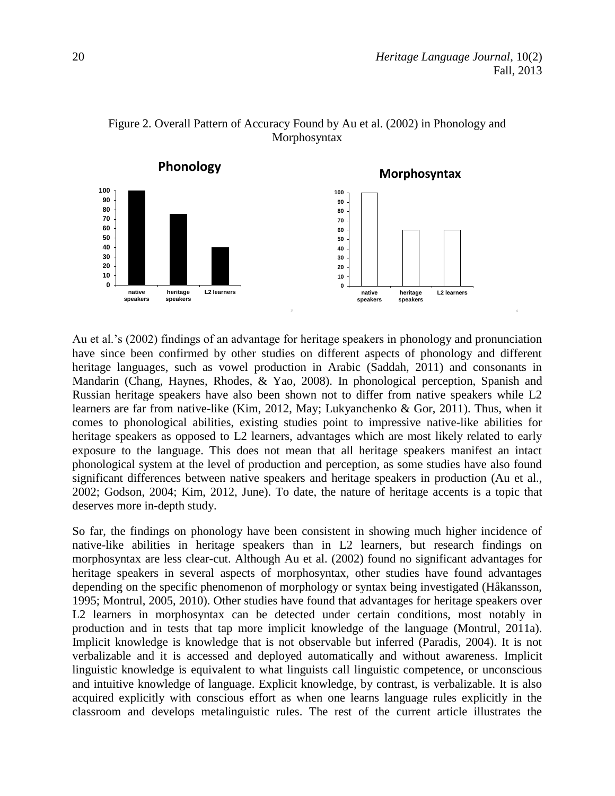4



# Figure 2. Overall Pattern of Accuracy Found by Au et al. (2002) in Phonology and Morphosyntax

Au et al.'s (2002) findings of an advantage for heritage speakers in phonology and pronunciation have since been confirmed by other studies on different aspects of phonology and different heritage languages, such as vowel production in Arabic (Saddah, 2011) and consonants in Mandarin (Chang, Haynes, Rhodes, & Yao, 2008). In phonological perception, Spanish and Russian heritage speakers have also been shown not to differ from native speakers while L2 learners are far from native-like (Kim, 2012, May; Lukyanchenko & Gor, 2011). Thus, when it comes to phonological abilities, existing studies point to impressive native-like abilities for heritage speakers as opposed to L2 learners, advantages which are most likely related to early exposure to the language. This does not mean that all heritage speakers manifest an intact phonological system at the level of production and perception, as some studies have also found significant differences between native speakers and heritage speakers in production (Au et al., 2002; Godson, 2004; Kim, 2012, June). To date, the nature of heritage accents is a topic that deserves more in-depth study.

So far, the findings on phonology have been consistent in showing much higher incidence of native-like abilities in heritage speakers than in L2 learners, but research findings on morphosyntax are less clear-cut. Although Au et al. (2002) found no significant advantages for heritage speakers in several aspects of morphosyntax, other studies have found advantages depending on the specific phenomenon of morphology or syntax being investigated (Håkansson, 1995; Montrul, 2005, 2010). Other studies have found that advantages for heritage speakers over L2 learners in morphosyntax can be detected under certain conditions, most notably in production and in tests that tap more implicit knowledge of the language (Montrul, 2011a). Implicit knowledge is knowledge that is not observable but inferred (Paradis, 2004). It is not verbalizable and it is accessed and deployed automatically and without awareness. Implicit linguistic knowledge is equivalent to what linguists call linguistic competence, or unconscious and intuitive knowledge of language. Explicit knowledge, by contrast, is verbalizable. It is also acquired explicitly with conscious effort as when one learns language rules explicitly in the classroom and develops metalinguistic rules. The rest of the current article illustrates the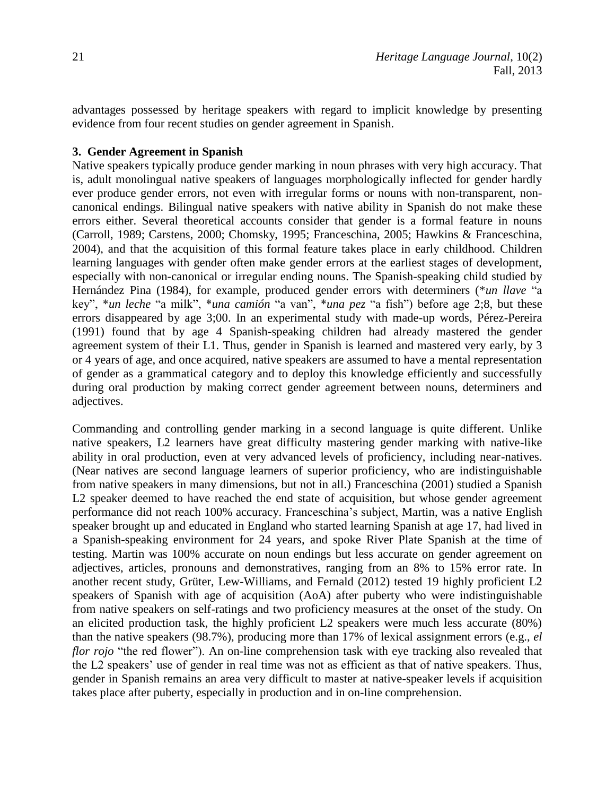advantages possessed by heritage speakers with regard to implicit knowledge by presenting evidence from four recent studies on gender agreement in Spanish.

### **3. Gender Agreement in Spanish**

Native speakers typically produce gender marking in noun phrases with very high accuracy. That is, adult monolingual native speakers of languages morphologically inflected for gender hardly ever produce gender errors, not even with irregular forms or nouns with non-transparent, noncanonical endings. Bilingual native speakers with native ability in Spanish do not make these errors either. Several theoretical accounts consider that gender is a formal feature in nouns (Carroll, 1989; Carstens, 2000; Chomsky, 1995; Franceschina, 2005; Hawkins & Franceschina, 2004), and that the acquisition of this formal feature takes place in early childhood. Children learning languages with gender often make gender errors at the earliest stages of development, especially with non-canonical or irregular ending nouns. The Spanish-speaking child studied by Hernández Pina (1984), for example, produced gender errors with determiners (\**un llave* "a key", \**un leche* "a milk", \**una camión* "a van", \**una pez* "a fish") before age 2;8, but these errors disappeared by age 3;00. In an experimental study with made-up words, Pérez-Pereira (1991) found that by age 4 Spanish-speaking children had already mastered the gender agreement system of their L1. Thus, gender in Spanish is learned and mastered very early, by 3 or 4 years of age, and once acquired, native speakers are assumed to have a mental representation of gender as a grammatical category and to deploy this knowledge efficiently and successfully during oral production by making correct gender agreement between nouns, determiners and adjectives.

Commanding and controlling gender marking in a second language is quite different. Unlike native speakers, L2 learners have great difficulty mastering gender marking with native-like ability in oral production, even at very advanced levels of proficiency, including near-natives. (Near natives are second language learners of superior proficiency, who are indistinguishable from native speakers in many dimensions, but not in all.) Franceschina (2001) studied a Spanish L<sub>2</sub> speaker deemed to have reached the end state of acquisition, but whose gender agreement performance did not reach 100% accuracy. Franceschina's subject, Martin, was a native English speaker brought up and educated in England who started learning Spanish at age 17, had lived in a Spanish-speaking environment for 24 years, and spoke River Plate Spanish at the time of testing. Martin was 100% accurate on noun endings but less accurate on gender agreement on adjectives, articles, pronouns and demonstratives, ranging from an 8% to 15% error rate. In another recent study, Grüter, Lew-Williams, and Fernald (2012) tested 19 highly proficient L2 speakers of Spanish with age of acquisition (AoA) after puberty who were indistinguishable from native speakers on self-ratings and two proficiency measures at the onset of the study. On an elicited production task, the highly proficient L2 speakers were much less accurate (80%) than the native speakers (98.7%), producing more than 17% of lexical assignment errors (e.g., *el flor rojo* "the red flower"). An on-line comprehension task with eye tracking also revealed that the L2 speakers' use of gender in real time was not as efficient as that of native speakers. Thus, gender in Spanish remains an area very difficult to master at native-speaker levels if acquisition takes place after puberty, especially in production and in on-line comprehension.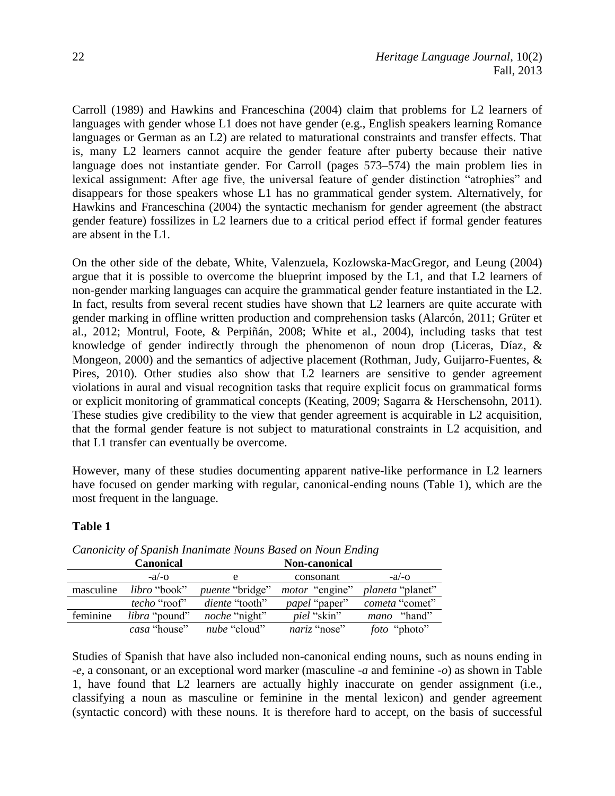Carroll (1989) and Hawkins and Franceschina (2004) claim that problems for L2 learners of languages with gender whose L1 does not have gender (e.g., English speakers learning Romance languages or German as an L2) are related to maturational constraints and transfer effects. That is, many L2 learners cannot acquire the gender feature after puberty because their native language does not instantiate gender. For Carroll (pages 573–574) the main problem lies in lexical assignment: After age five, the universal feature of gender distinction "atrophies" and disappears for those speakers whose L1 has no grammatical gender system. Alternatively, for Hawkins and Franceschina (2004) the syntactic mechanism for gender agreement (the abstract gender feature) fossilizes in L2 learners due to a critical period effect if formal gender features are absent in the L1.

On the other side of the debate, White, Valenzuela, Kozlowska-MacGregor, and Leung (2004) argue that it is possible to overcome the blueprint imposed by the L1, and that L2 learners of non-gender marking languages can acquire the grammatical gender feature instantiated in the L2. In fact, results from several recent studies have shown that L2 learners are quite accurate with gender marking in offline written production and comprehension tasks (Alarcón, 2011; Grüter et al., 2012; Montrul, Foote, & Perpiñán, 2008; White et al., 2004), including tasks that test knowledge of gender indirectly through the phenomenon of noun drop (Liceras, Díaz, & Mongeon, 2000) and the semantics of adjective placement (Rothman, Judy, Guijarro-Fuentes, & Pires, 2010). Other studies also show that L2 learners are sensitive to gender agreement violations in aural and visual recognition tasks that require explicit focus on grammatical forms or explicit monitoring of grammatical concepts (Keating, 2009; Sagarra & Herschensohn, 2011). These studies give credibility to the view that gender agreement is acquirable in L2 acquisition, that the formal gender feature is not subject to maturational constraints in L2 acquisition, and that L1 transfer can eventually be overcome.

However, many of these studies documenting apparent native-like performance in L2 learners have focused on gender marking with regular, canonical-ending nouns (Table 1), which are the most frequent in the language.

# **Table 1**

|           | Canonical            |                        | <b>Non-canonical</b>  |                         |
|-----------|----------------------|------------------------|-----------------------|-------------------------|
|           | $-a/-o$              | e                      | consonant             | $-a/-o$                 |
| masculine | <i>libro</i> "book"  | <i>puente</i> "bridge" | <i>motor</i> "engine" | <i>planeta</i> "planet" |
|           | <i>techo</i> "roof"  | <i>diente</i> "tooth"  | <i>papel</i> "paper"  | cometa "comet"          |
| feminine  | <i>libra</i> "pound" | <i>noche</i> "night"   | <i>piel</i> "skin"    | "hand"<br>mano          |
|           | casa "house"         | nube "cloud"           | nariz "nose"          | <i>foto</i> "photo"     |

*Canonicity of Spanish Inanimate Nouns Based on Noun Ending*

Studies of Spanish that have also included non-canonical ending nouns, such as nouns ending in -*e*, a consonant, or an exceptional word marker (masculine -*a* and feminine -*o*) as shown in Table 1, have found that L2 learners are actually highly inaccurate on gender assignment (i.e., classifying a noun as masculine or feminine in the mental lexicon) and gender agreement (syntactic concord) with these nouns. It is therefore hard to accept, on the basis of successful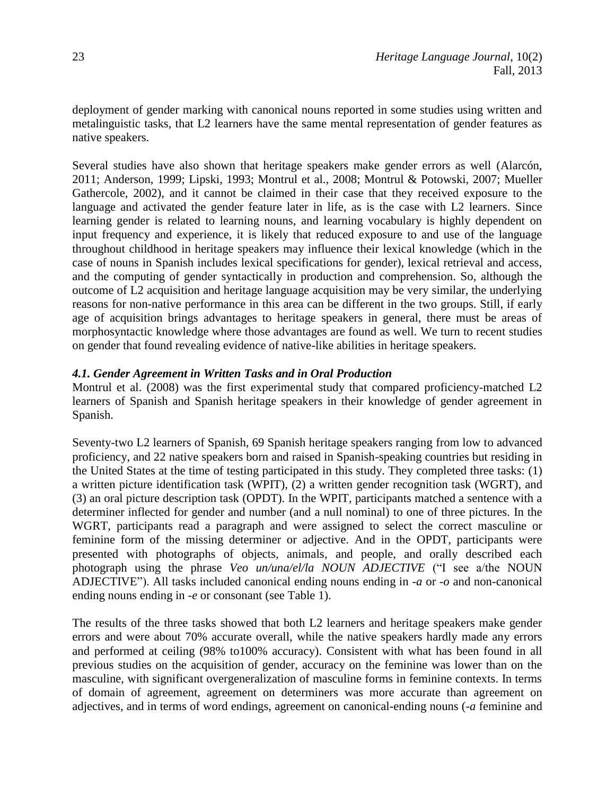deployment of gender marking with canonical nouns reported in some studies using written and metalinguistic tasks, that L2 learners have the same mental representation of gender features as native speakers.

Several studies have also shown that heritage speakers make gender errors as well (Alarcón, 2011; Anderson, 1999; Lipski, 1993; Montrul et al., 2008; Montrul & Potowski, 2007; Mueller Gathercole, 2002), and it cannot be claimed in their case that they received exposure to the language and activated the gender feature later in life, as is the case with L2 learners. Since learning gender is related to learning nouns, and learning vocabulary is highly dependent on input frequency and experience, it is likely that reduced exposure to and use of the language throughout childhood in heritage speakers may influence their lexical knowledge (which in the case of nouns in Spanish includes lexical specifications for gender), lexical retrieval and access, and the computing of gender syntactically in production and comprehension. So, although the outcome of L2 acquisition and heritage language acquisition may be very similar, the underlying reasons for non-native performance in this area can be different in the two groups. Still, if early age of acquisition brings advantages to heritage speakers in general, there must be areas of morphosyntactic knowledge where those advantages are found as well. We turn to recent studies on gender that found revealing evidence of native-like abilities in heritage speakers.

# *4.1. Gender Agreement in Written Tasks and in Oral Production*

Montrul et al. (2008) was the first experimental study that compared proficiency-matched L2 learners of Spanish and Spanish heritage speakers in their knowledge of gender agreement in Spanish.

Seventy-two L2 learners of Spanish, 69 Spanish heritage speakers ranging from low to advanced proficiency, and 22 native speakers born and raised in Spanish-speaking countries but residing in the United States at the time of testing participated in this study. They completed three tasks: (1) a written picture identification task (WPIT), (2) a written gender recognition task (WGRT), and (3) an oral picture description task (OPDT). In the WPIT, participants matched a sentence with a determiner inflected for gender and number (and a null nominal) to one of three pictures. In the WGRT, participants read a paragraph and were assigned to select the correct masculine or feminine form of the missing determiner or adjective. And in the OPDT, participants were presented with photographs of objects, animals, and people, and orally described each photograph using the phrase *Veo un/una/el/la NOUN ADJECTIVE* ("I see a/the NOUN ADJECTIVE"). All tasks included canonical ending nouns ending in *-a* or *-o* and non-canonical ending nouns ending in -*e* or consonant (see Table 1).

The results of the three tasks showed that both L2 learners and heritage speakers make gender errors and were about 70% accurate overall, while the native speakers hardly made any errors and performed at ceiling (98% to100% accuracy). Consistent with what has been found in all previous studies on the acquisition of gender, accuracy on the feminine was lower than on the masculine, with significant overgeneralization of masculine forms in feminine contexts. In terms of domain of agreement, agreement on determiners was more accurate than agreement on adjectives, and in terms of word endings, agreement on canonical-ending nouns (-*a* feminine and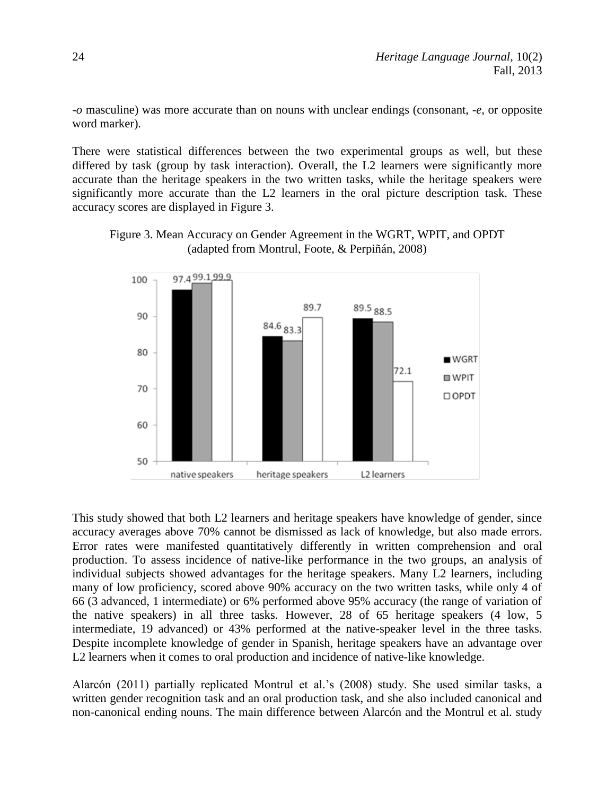-*o* masculine) was more accurate than on nouns with unclear endings (consonant, -*e*, or opposite word marker).

There were statistical differences between the two experimental groups as well, but these differed by task (group by task interaction). Overall, the L2 learners were significantly more accurate than the heritage speakers in the two written tasks, while the heritage speakers were significantly more accurate than the L2 learners in the oral picture description task. These accuracy scores are displayed in Figure 3.





This study showed that both L2 learners and heritage speakers have knowledge of gender, since accuracy averages above 70% cannot be dismissed as lack of knowledge, but also made errors. Error rates were manifested quantitatively differently in written comprehension and oral production. To assess incidence of native-like performance in the two groups, an analysis of individual subjects showed advantages for the heritage speakers. Many L2 learners, including many of low proficiency, scored above 90% accuracy on the two written tasks, while only 4 of 66 (3 advanced, 1 intermediate) or 6% performed above 95% accuracy (the range of variation of the native speakers) in all three tasks. However, 28 of 65 heritage speakers (4 low, 5 intermediate, 19 advanced) or 43% performed at the native-speaker level in the three tasks. Despite incomplete knowledge of gender in Spanish, heritage speakers have an advantage over L2 learners when it comes to oral production and incidence of native-like knowledge.

Alarcón (2011) partially replicated Montrul et al.'s (2008) study. She used similar tasks, a written gender recognition task and an oral production task, and she also included canonical and non-canonical ending nouns. The main difference between Alarcón and the Montrul et al. study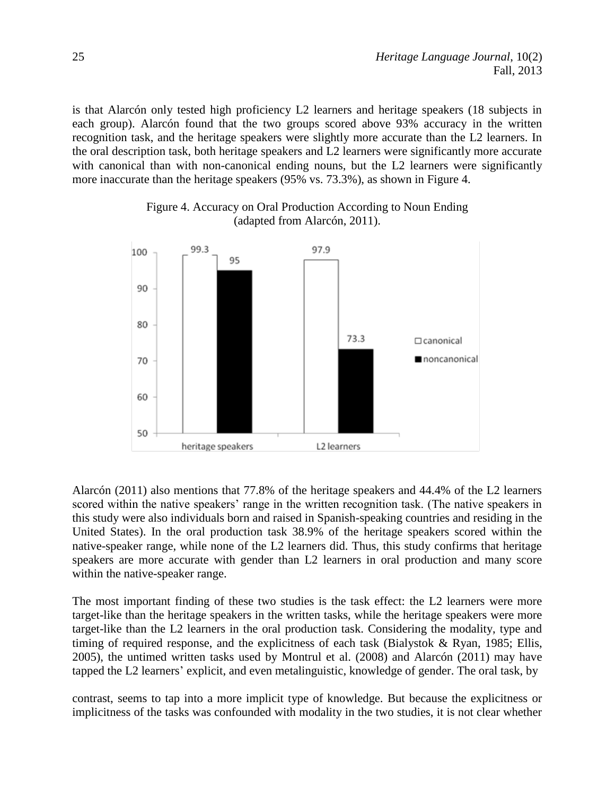is that Alarcón only tested high proficiency L2 learners and heritage speakers (18 subjects in each group). Alarcón found that the two groups scored above 93% accuracy in the written recognition task, and the heritage speakers were slightly more accurate than the L2 learners. In the oral description task, both heritage speakers and L2 learners were significantly more accurate with canonical than with non-canonical ending nouns, but the L2 learners were significantly more inaccurate than the heritage speakers (95% vs. 73.3%), as shown in Figure 4.



Figure 4. Accuracy on Oral Production According to Noun Ending (adapted from Alarcón, 2011).

Alarcón (2011) also mentions that 77.8% of the heritage speakers and 44.4% of the L2 learners scored within the native speakers' range in the written recognition task. (The native speakers in this study were also individuals born and raised in Spanish-speaking countries and residing in the United States). In the oral production task 38.9% of the heritage speakers scored within the native-speaker range, while none of the L2 learners did. Thus, this study confirms that heritage speakers are more accurate with gender than L2 learners in oral production and many score within the native-speaker range.

The most important finding of these two studies is the task effect: the L2 learners were more target-like than the heritage speakers in the written tasks, while the heritage speakers were more target-like than the L2 learners in the oral production task. Considering the modality, type and timing of required response, and the explicitness of each task (Bialystok & Ryan, 1985; Ellis, 2005), the untimed written tasks used by Montrul et al. (2008) and Alarcón (2011) may have tapped the L2 learners' explicit, and even metalinguistic, knowledge of gender. The oral task, by

contrast, seems to tap into a more implicit type of knowledge. But because the explicitness or implicitness of the tasks was confounded with modality in the two studies, it is not clear whether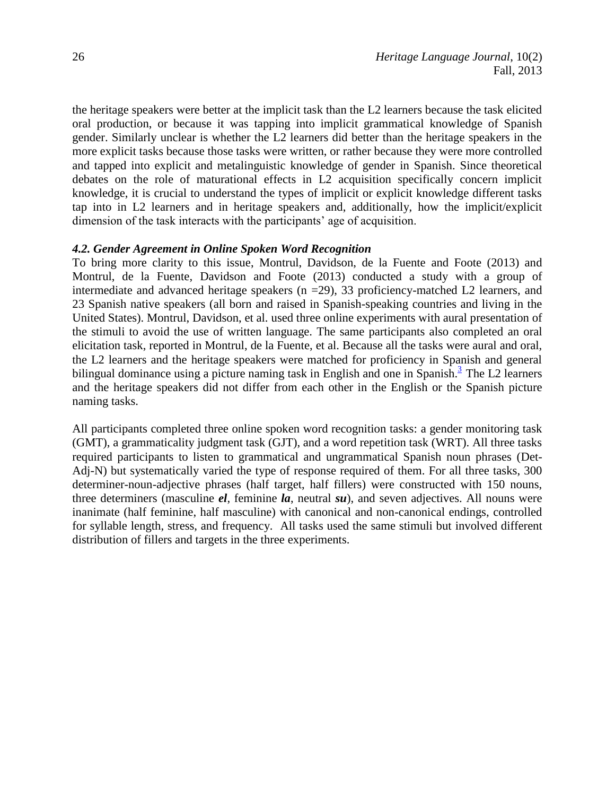the heritage speakers were better at the implicit task than the L2 learners because the task elicited oral production, or because it was tapping into implicit grammatical knowledge of Spanish gender. Similarly unclear is whether the L2 learners did better than the heritage speakers in the more explicit tasks because those tasks were written, or rather because they were more controlled and tapped into explicit and metalinguistic knowledge of gender in Spanish. Since theoretical debates on the role of maturational effects in L2 acquisition specifically concern implicit knowledge, it is crucial to understand the types of implicit or explicit knowledge different tasks tap into in L2 learners and in heritage speakers and, additionally, how the implicit/explicit dimension of the task interacts with the participants' age of acquisition.

#### *4.2. Gender Agreement in Online Spoken Word Recognition*

To bring more clarity to this issue, Montrul, Davidson, de la Fuente and Foote (2013) and Montrul, de la Fuente, Davidson and Foote (2013) conducted a study with a group of intermediate and advanced heritage speakers (n =29), 33 proficiency-matched L2 learners, and 23 Spanish native speakers (all born and raised in Spanish-speaking countries and living in the United States). Montrul, Davidson, et al. used three online experiments with aural presentation of the stimuli to avoid the use of written language. The same participants also completed an oral elicitation task, reported in Montrul, de la Fuente, et al. Because all the tasks were aural and oral, the L2 learners and the heritage speakers were matched for proficiency in Spanish and general bilingual dominance using a picture naming task in English and one in Spanish.<sup>3</sup> The L2 learners and the heritage speakers did not differ from each other in the English or the Spanish picture naming tasks.

All participants completed three online spoken word recognition tasks: a gender monitoring task (GMT), a grammaticality judgment task (GJT), and a word repetition task (WRT). All three tasks required participants to listen to grammatical and ungrammatical Spanish noun phrases (Det-Adj-N) but systematically varied the type of response required of them. For all three tasks, 300 determiner-noun-adjective phrases (half target, half fillers) were constructed with 150 nouns, three determiners (masculine *el*, feminine *la*, neutral *su*), and seven adjectives. All nouns were inanimate (half feminine, half masculine) with canonical and non-canonical endings, controlled for syllable length, stress, and frequency. All tasks used the same stimuli but involved different distribution of fillers and targets in the three experiments.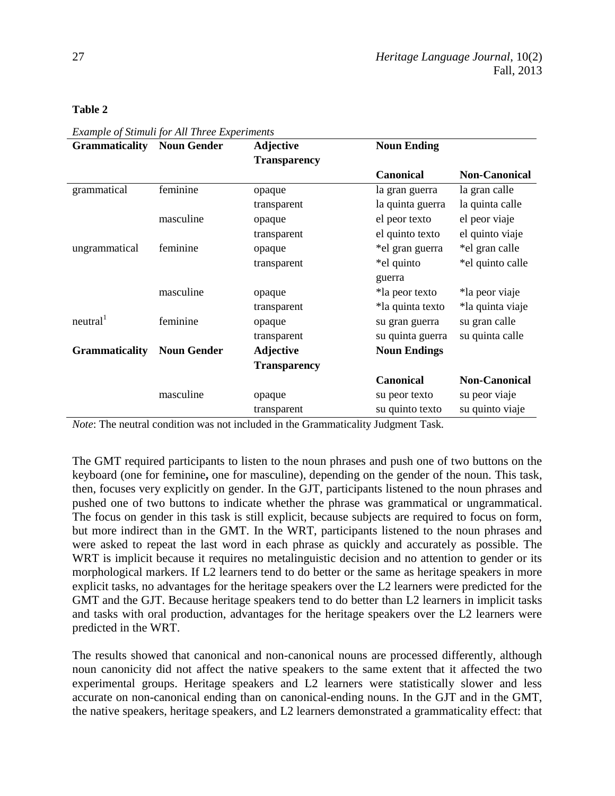| <b>Grammaticality</b>                      | <b>Noun Gender</b> | <b>Adjective</b>    | <b>Noun Ending</b>  |                      |
|--------------------------------------------|--------------------|---------------------|---------------------|----------------------|
|                                            |                    | <b>Transparency</b> |                     |                      |
|                                            |                    |                     | <b>Canonical</b>    | <b>Non-Canonical</b> |
| grammatical                                | feminine           | opaque              | la gran guerra      | la gran calle        |
|                                            |                    | transparent         | la quinta guerra    | la quinta calle      |
|                                            | masculine          | opaque              | el peor texto       | el peor viaje        |
|                                            |                    | transparent         | el quinto texto     | el quinto viaje      |
| ungrammatical                              | feminine           | opaque              | *el gran guerra     | *el gran calle       |
|                                            |                    | transparent         | *el quinto          | *el quinto calle     |
|                                            |                    |                     | guerra              |                      |
|                                            | masculine          | opaque              | *la peor texto      | *la peor viaje       |
|                                            |                    | transparent         | *la quinta texto    | *la quinta viaje     |
| neutral <sup>1</sup>                       | feminine           | opaque              | su gran guerra      | su gran calle        |
|                                            |                    | transparent         | su quinta guerra    | su quinta calle      |
| <b>Grammaticality</b>                      | <b>Noun Gender</b> | <b>Adjective</b>    | <b>Noun Endings</b> |                      |
|                                            |                    | <b>Transparency</b> |                     |                      |
|                                            |                    |                     | <b>Canonical</b>    | <b>Non-Canonical</b> |
|                                            | masculine          | opaque              | su peor texto       | su peor viaje        |
|                                            |                    | transparent         | su quinto texto     | su quinto viaje      |
| T <sub>1</sub><br>$\mathbf{X}$<br>$\sim$ 1 | 1.7.7              | $1 + 1 + 1 + 1 - 1$ |                     |                      |

**Table 2**

*Example of Stimuli for All Three Experiments*

*Note*: The neutral condition was not included in the Grammaticality Judgment Task.

The GMT required participants to listen to the noun phrases and push one of two buttons on the keyboard (one for feminine**,** one for masculine), depending on the gender of the noun. This task, then, focuses very explicitly on gender. In the GJT, participants listened to the noun phrases and pushed one of two buttons to indicate whether the phrase was grammatical or ungrammatical. The focus on gender in this task is still explicit, because subjects are required to focus on form, but more indirect than in the GMT. In the WRT, participants listened to the noun phrases and were asked to repeat the last word in each phrase as quickly and accurately as possible. The WRT is implicit because it requires no metalinguistic decision and no attention to gender or its morphological markers. If L2 learners tend to do better or the same as heritage speakers in more explicit tasks, no advantages for the heritage speakers over the L2 learners were predicted for the GMT and the GJT. Because heritage speakers tend to do better than L2 learners in implicit tasks and tasks with oral production, advantages for the heritage speakers over the L2 learners were predicted in the WRT.

The results showed that canonical and non-canonical nouns are processed differently, although noun canonicity did not affect the native speakers to the same extent that it affected the two experimental groups. Heritage speakers and L2 learners were statistically slower and less accurate on non-canonical ending than on canonical-ending nouns. In the GJT and in the GMT, the native speakers, heritage speakers, and L2 learners demonstrated a grammaticality effect: that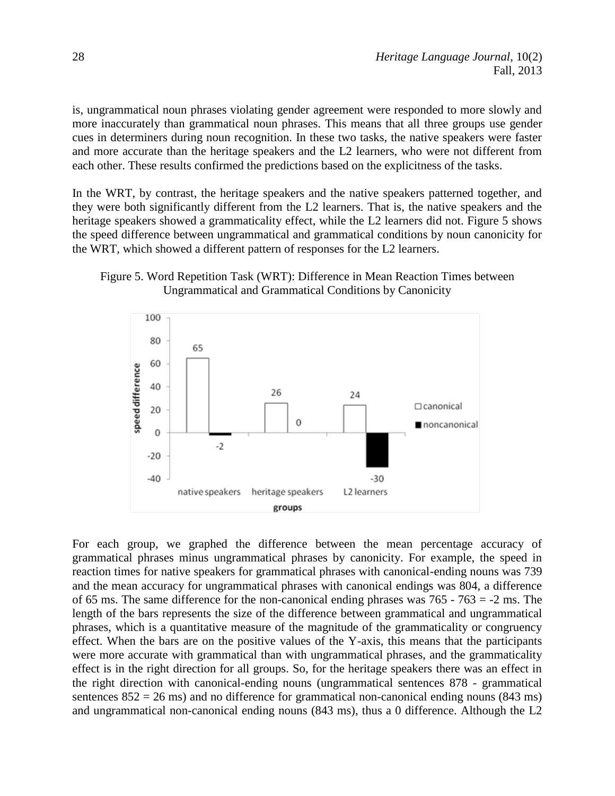is, ungrammatical noun phrases violating gender agreement were responded to more slowly and more inaccurately than grammatical noun phrases. This means that all three groups use gender cues in determiners during noun recognition. In these two tasks, the native speakers were faster and more accurate than the heritage speakers and the L2 learners, who were not different from each other. These results confirmed the predictions based on the explicitness of the tasks.

In the WRT, by contrast, the heritage speakers and the native speakers patterned together, and they were both significantly different from the L2 learners. That is, the native speakers and the heritage speakers showed a grammaticality effect, while the L2 learners did not. Figure 5 shows the speed difference between ungrammatical and grammatical conditions by noun canonicity for the WRT, which showed a different pattern of responses for the L2 learners.





For each group, we graphed the difference between the mean percentage accuracy of grammatical phrases minus ungrammatical phrases by canonicity. For example, the speed in reaction times for native speakers for grammatical phrases with canonical-ending nouns was 739 and the mean accuracy for ungrammatical phrases with canonical endings was 804, a difference of 65 ms. The same difference for the non-canonical ending phrases was  $765 - 763 = -2$  ms. The length of the bars represents the size of the difference between grammatical and ungrammatical phrases, which is a quantitative measure of the magnitude of the grammaticality or congruency effect. When the bars are on the positive values of the Y-axis, this means that the participants were more accurate with grammatical than with ungrammatical phrases, and the grammaticality effect is in the right direction for all groups. So, for the heritage speakers there was an effect in the right direction with canonical-ending nouns (ungrammatical sentences 878 - grammatical sentences  $852 = 26$  ms) and no difference for grammatical non-canonical ending nouns (843 ms) and ungrammatical non-canonical ending nouns (843 ms), thus a 0 difference. Although the L2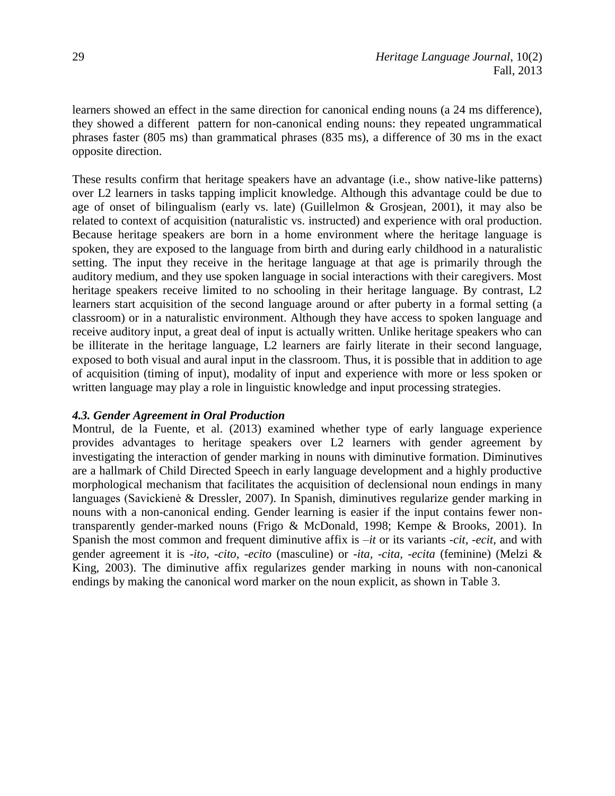learners showed an effect in the same direction for canonical ending nouns (a 24 ms difference), they showed a different pattern for non-canonical ending nouns: they repeated ungrammatical phrases faster (805 ms) than grammatical phrases (835 ms), a difference of 30 ms in the exact opposite direction.

These results confirm that heritage speakers have an advantage (i.e., show native-like patterns) over L2 learners in tasks tapping implicit knowledge. Although this advantage could be due to age of onset of bilingualism (early vs. late) (Guillelmon & Grosjean, 2001), it may also be related to context of acquisition (naturalistic vs. instructed) and experience with oral production. Because heritage speakers are born in a home environment where the heritage language is spoken, they are exposed to the language from birth and during early childhood in a naturalistic setting. The input they receive in the heritage language at that age is primarily through the auditory medium, and they use spoken language in social interactions with their caregivers. Most heritage speakers receive limited to no schooling in their heritage language. By contrast, L2 learners start acquisition of the second language around or after puberty in a formal setting (a classroom) or in a naturalistic environment. Although they have access to spoken language and receive auditory input, a great deal of input is actually written. Unlike heritage speakers who can be illiterate in the heritage language, L2 learners are fairly literate in their second language, exposed to both visual and aural input in the classroom. Thus, it is possible that in addition to age of acquisition (timing of input), modality of input and experience with more or less spoken or written language may play a role in linguistic knowledge and input processing strategies.

# *4.3. Gender Agreement in Oral Production*

Montrul, de la Fuente, et al. (2013) examined whether type of early language experience provides advantages to heritage speakers over L2 learners with gender agreement by investigating the interaction of gender marking in nouns with diminutive formation. Diminutives are a hallmark of Child Directed Speech in early language development and a highly productive morphological mechanism that facilitates the acquisition of declensional noun endings in many languages (Savickienė & Dressler, 2007). In Spanish, diminutives regularize gender marking in nouns with a non-canonical ending. Gender learning is easier if the input contains fewer nontransparently gender-marked nouns (Frigo & McDonald, 1998; Kempe & Brooks, 2001). In Spanish the most common and frequent diminutive affix is –*it* or its variants -*cit*, -*ecit*, and with gender agreement it is *-ito, -cito, -ecito* (masculine) or *-ita, -cita, -ecita* (feminine) (Melzi & King, 2003). The diminutive affix regularizes gender marking in nouns with non-canonical endings by making the canonical word marker on the noun explicit, as shown in Table 3.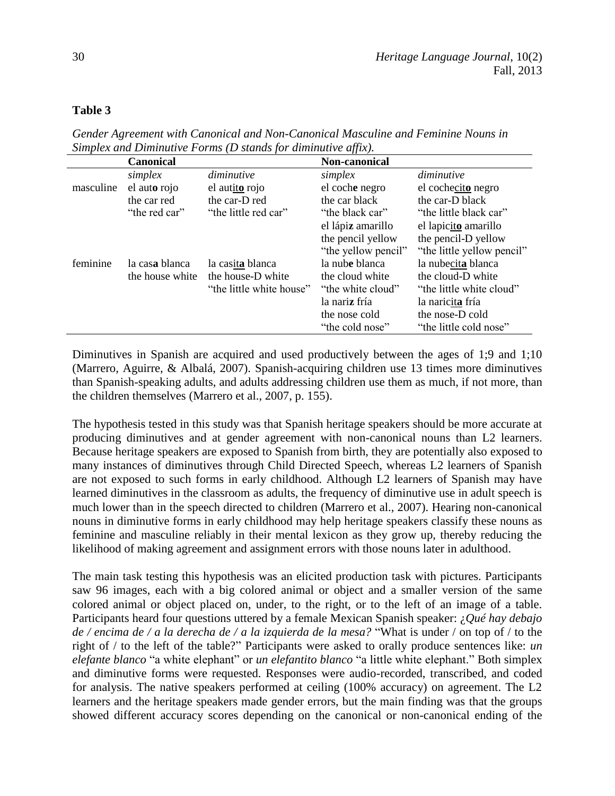# **Table 3**

*Gender Agreement with Canonical and Non-Canonical Masculine and Feminine Nouns in Simplex and Diminutive Forms (D stands for diminutive affix).*

|           | <b>Canonical</b> |                          | <b>Non-canonical</b> |                            |
|-----------|------------------|--------------------------|----------------------|----------------------------|
|           | simplex          | diminutive               | simplex              | diminutive                 |
| masculine | el auto rojo     | el autito rojo           | el coche negro       | el cochecito negro         |
|           | the car red      | the car-D red            | the car black        | the car-D black            |
|           | "the red car"    | "the little red car"     | "the black car"      | "the little black car"     |
|           |                  |                          | el lápiz amarillo    | el lapicito amarillo       |
|           |                  |                          | the pencil yellow    | the pencil-D yellow        |
|           |                  |                          | "the yellow pencil"  | "the little yellow pencil" |
| feminine  | la casa blanca   | la casita blanca         | la nube blanca       | la nubecita blanca         |
|           | the house white  | the house-D white        | the cloud white      | the cloud-D white          |
|           |                  | "the little white house" | "the white cloud"    | "the little white cloud"   |
|           |                  |                          | la nariz fría        | la naricita fría           |
|           |                  |                          | the nose cold        | the nose-D cold            |
|           |                  |                          | "the cold nose"      | "the little cold nose"     |

Diminutives in Spanish are acquired and used productively between the ages of 1;9 and 1;10 (Marrero, Aguirre, & Albalá, 2007). Spanish-acquiring children use 13 times more diminutives than Spanish-speaking adults, and adults addressing children use them as much, if not more, than the children themselves (Marrero et al., 2007, p. 155).

The hypothesis tested in this study was that Spanish heritage speakers should be more accurate at producing diminutives and at gender agreement with non-canonical nouns than L2 learners. Because heritage speakers are exposed to Spanish from birth, they are potentially also exposed to many instances of diminutives through Child Directed Speech, whereas L2 learners of Spanish are not exposed to such forms in early childhood. Although L2 learners of Spanish may have learned diminutives in the classroom as adults, the frequency of diminutive use in adult speech is much lower than in the speech directed to children (Marrero et al., 2007). Hearing non-canonical nouns in diminutive forms in early childhood may help heritage speakers classify these nouns as feminine and masculine reliably in their mental lexicon as they grow up, thereby reducing the likelihood of making agreement and assignment errors with those nouns later in adulthood.

The main task testing this hypothesis was an elicited production task with pictures. Participants saw 96 images, each with a big colored animal or object and a smaller version of the same colored animal or object placed on, under, to the right, or to the left of an image of a table. Participants heard four questions uttered by a female Mexican Spanish speaker: ¿*Qué hay debajo de / encima de / a la derecha de / a la izquierda de la mesa?* "What is under / on top of / to the right of / to the left of the table?" Participants were asked to orally produce sentences like: *un elefante blanco* "a white elephant" or *un elefantito blanco* "a little white elephant." Both simplex and diminutive forms were requested. Responses were audio-recorded, transcribed, and coded for analysis. The native speakers performed at ceiling (100% accuracy) on agreement. The L2 learners and the heritage speakers made gender errors, but the main finding was that the groups showed different accuracy scores depending on the canonical or non-canonical ending of the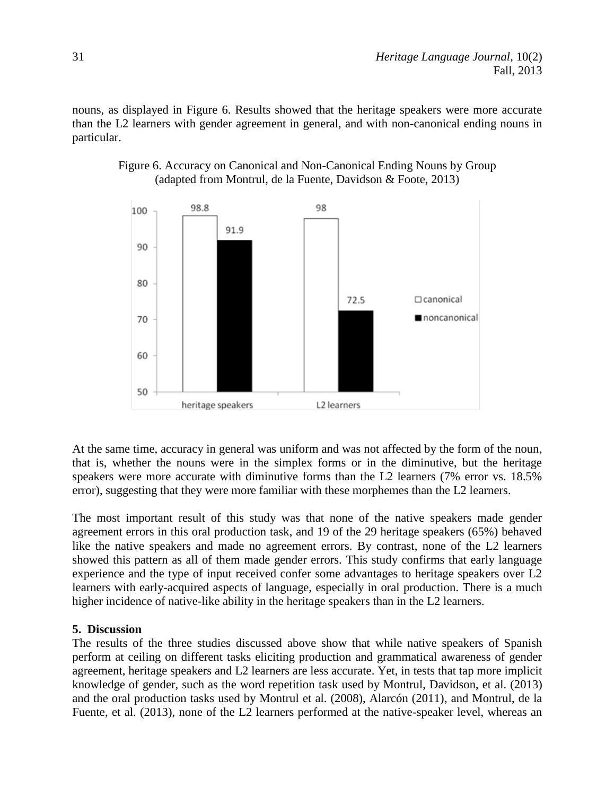nouns, as displayed in Figure 6. Results showed that the heritage speakers were more accurate than the L2 learners with gender agreement in general, and with non-canonical ending nouns in particular.





At the same time, accuracy in general was uniform and was not affected by the form of the noun, that is, whether the nouns were in the simplex forms or in the diminutive, but the heritage speakers were more accurate with diminutive forms than the L2 learners (7% error vs. 18.5% error), suggesting that they were more familiar with these morphemes than the L2 learners.

The most important result of this study was that none of the native speakers made gender agreement errors in this oral production task, and 19 of the 29 heritage speakers (65%) behaved like the native speakers and made no agreement errors. By contrast, none of the L2 learners showed this pattern as all of them made gender errors. This study confirms that early language experience and the type of input received confer some advantages to heritage speakers over L2 learners with early-acquired aspects of language, especially in oral production. There is a much higher incidence of native-like ability in the heritage speakers than in the L2 learners.

# **5. Discussion**

The results of the three studies discussed above show that while native speakers of Spanish perform at ceiling on different tasks eliciting production and grammatical awareness of gender agreement, heritage speakers and L2 learners are less accurate. Yet, in tests that tap more implicit knowledge of gender, such as the word repetition task used by Montrul, Davidson, et al. (2013) and the oral production tasks used by Montrul et al. (2008), Alarcón (2011), and Montrul, de la Fuente, et al. (2013), none of the L2 learners performed at the native-speaker level, whereas an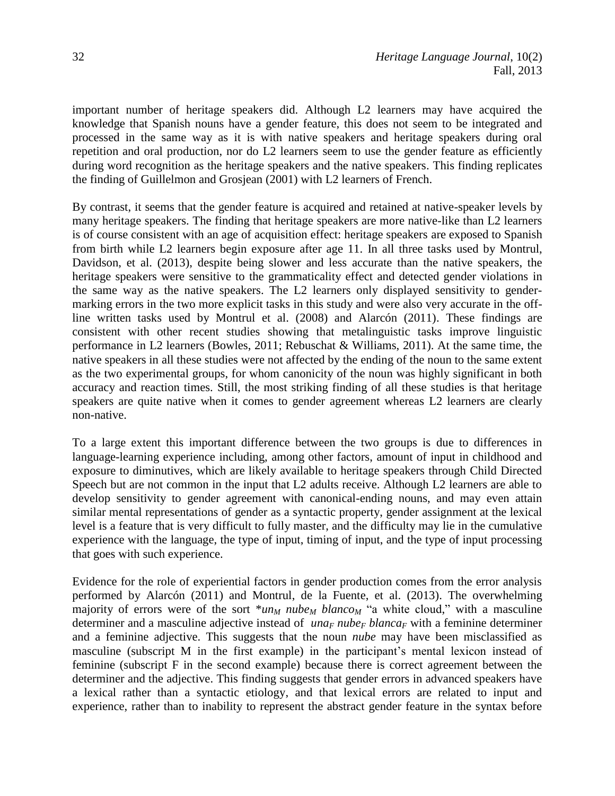important number of heritage speakers did. Although L2 learners may have acquired the knowledge that Spanish nouns have a gender feature, this does not seem to be integrated and processed in the same way as it is with native speakers and heritage speakers during oral repetition and oral production, nor do L2 learners seem to use the gender feature as efficiently during word recognition as the heritage speakers and the native speakers. This finding replicates the finding of Guillelmon and Grosjean (2001) with L2 learners of French.

By contrast, it seems that the gender feature is acquired and retained at native-speaker levels by many heritage speakers. The finding that heritage speakers are more native-like than L2 learners is of course consistent with an age of acquisition effect: heritage speakers are exposed to Spanish from birth while L2 learners begin exposure after age 11. In all three tasks used by Montrul, Davidson, et al. (2013), despite being slower and less accurate than the native speakers, the heritage speakers were sensitive to the grammaticality effect and detected gender violations in the same way as the native speakers. The L2 learners only displayed sensitivity to gendermarking errors in the two more explicit tasks in this study and were also very accurate in the offline written tasks used by Montrul et al. (2008) and Alarcón (2011). These findings are consistent with other recent studies showing that metalinguistic tasks improve linguistic performance in L2 learners (Bowles, 2011; Rebuschat & Williams, 2011). At the same time, the native speakers in all these studies were not affected by the ending of the noun to the same extent as the two experimental groups, for whom canonicity of the noun was highly significant in both accuracy and reaction times. Still, the most striking finding of all these studies is that heritage speakers are quite native when it comes to gender agreement whereas L2 learners are clearly non-native.

To a large extent this important difference between the two groups is due to differences in language-learning experience including, among other factors, amount of input in childhood and exposure to diminutives, which are likely available to heritage speakers through Child Directed Speech but are not common in the input that L2 adults receive. Although L2 learners are able to develop sensitivity to gender agreement with canonical-ending nouns, and may even attain similar mental representations of gender as a syntactic property, gender assignment at the lexical level is a feature that is very difficult to fully master, and the difficulty may lie in the cumulative experience with the language, the type of input, timing of input, and the type of input processing that goes with such experience.

Evidence for the role of experiential factors in gender production comes from the error analysis performed by Alarcón (2011) and Montrul, de la Fuente, et al. (2013). The overwhelming majority of errors were of the sort  $*un_M$   $nube_M$  *blanco<sub>M</sub>* "a white cloud," with a masculine determiner and a masculine adjective instead of *una<sup>F</sup> nube<sup>F</sup> blanca<sup>F</sup>* with a feminine determiner and a feminine adjective. This suggests that the noun *nube* may have been misclassified as masculine (subscript M in the first example) in the participant's mental lexicon instead of feminine (subscript F in the second example) because there is correct agreement between the determiner and the adjective. This finding suggests that gender errors in advanced speakers have a lexical rather than a syntactic etiology, and that lexical errors are related to input and experience, rather than to inability to represent the abstract gender feature in the syntax before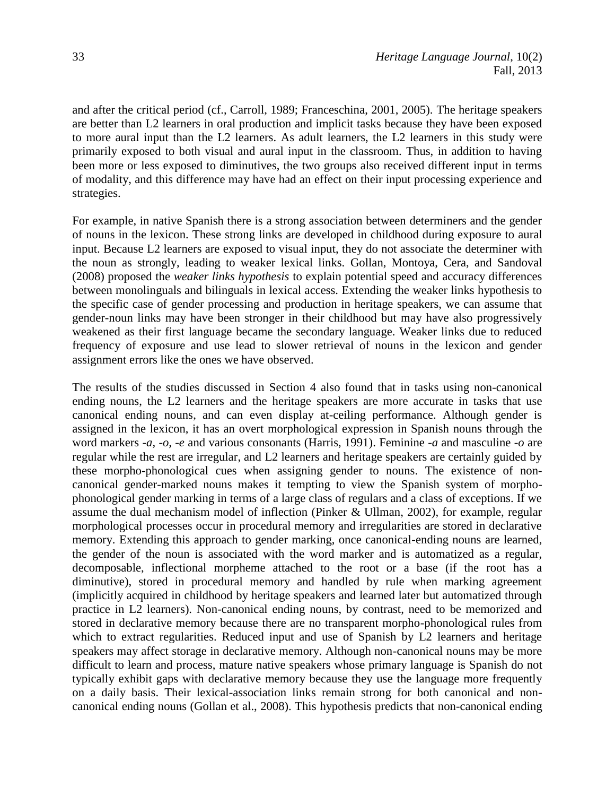and after the critical period (cf., Carroll, 1989; Franceschina, 2001, 2005). The heritage speakers are better than L2 learners in oral production and implicit tasks because they have been exposed to more aural input than the L2 learners. As adult learners, the L2 learners in this study were primarily exposed to both visual and aural input in the classroom. Thus, in addition to having been more or less exposed to diminutives, the two groups also received different input in terms of modality, and this difference may have had an effect on their input processing experience and strategies.

For example, in native Spanish there is a strong association between determiners and the gender of nouns in the lexicon. These strong links are developed in childhood during exposure to aural input. Because L2 learners are exposed to visual input, they do not associate the determiner with the noun as strongly, leading to weaker lexical links. Gollan, Montoya, Cera, and Sandoval (2008) proposed the *weaker links hypothesis* to explain potential speed and accuracy differences between monolinguals and bilinguals in lexical access. Extending the weaker links hypothesis to the specific case of gender processing and production in heritage speakers, we can assume that gender-noun links may have been stronger in their childhood but may have also progressively weakened as their first language became the secondary language. Weaker links due to reduced frequency of exposure and use lead to slower retrieval of nouns in the lexicon and gender assignment errors like the ones we have observed.

The results of the studies discussed in Section 4 also found that in tasks using non-canonical ending nouns, the L2 learners and the heritage speakers are more accurate in tasks that use canonical ending nouns, and can even display at-ceiling performance. Although gender is assigned in the lexicon, it has an overt morphological expression in Spanish nouns through the word markers -*a,* -*o,* -*e* and various consonants (Harris, 1991). Feminine -*a* and masculine -*o* are regular while the rest are irregular, and L2 learners and heritage speakers are certainly guided by these morpho-phonological cues when assigning gender to nouns. The existence of noncanonical gender-marked nouns makes it tempting to view the Spanish system of morphophonological gender marking in terms of a large class of regulars and a class of exceptions. If we assume the dual mechanism model of inflection (Pinker & Ullman, 2002), for example, regular morphological processes occur in procedural memory and irregularities are stored in declarative memory. Extending this approach to gender marking, once canonical-ending nouns are learned, the gender of the noun is associated with the word marker and is automatized as a regular, decomposable, inflectional morpheme attached to the root or a base (if the root has a diminutive), stored in procedural memory and handled by rule when marking agreement (implicitly acquired in childhood by heritage speakers and learned later but automatized through practice in L2 learners). Non-canonical ending nouns, by contrast, need to be memorized and stored in declarative memory because there are no transparent morpho-phonological rules from which to extract regularities. Reduced input and use of Spanish by L2 learners and heritage speakers may affect storage in declarative memory. Although non-canonical nouns may be more difficult to learn and process, mature native speakers whose primary language is Spanish do not typically exhibit gaps with declarative memory because they use the language more frequently on a daily basis. Their lexical-association links remain strong for both canonical and noncanonical ending nouns (Gollan et al., 2008). This hypothesis predicts that non-canonical ending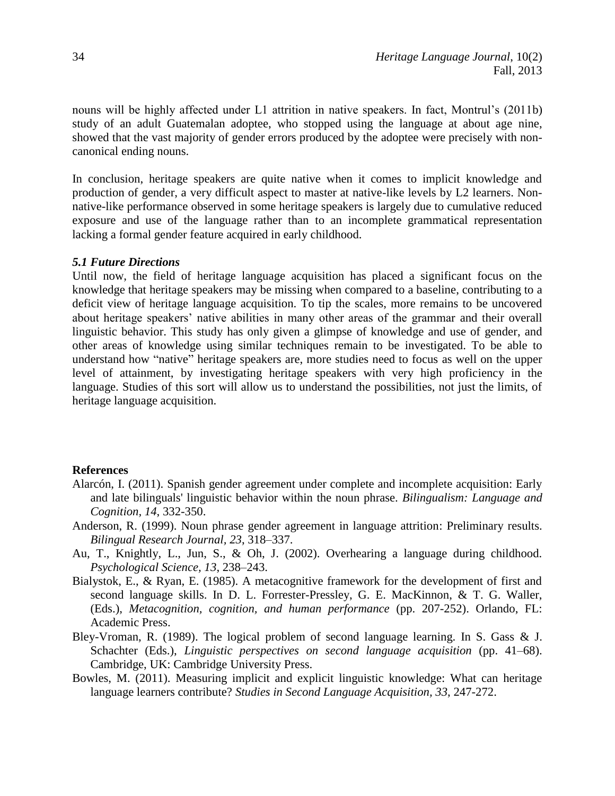nouns will be highly affected under L1 attrition in native speakers. In fact, Montrul's (2011b) study of an adult Guatemalan adoptee, who stopped using the language at about age nine, showed that the vast majority of gender errors produced by the adoptee were precisely with noncanonical ending nouns.

In conclusion, heritage speakers are quite native when it comes to implicit knowledge and production of gender, a very difficult aspect to master at native-like levels by L2 learners. Nonnative-like performance observed in some heritage speakers is largely due to cumulative reduced exposure and use of the language rather than to an incomplete grammatical representation lacking a formal gender feature acquired in early childhood.

### *5.1 Future Directions*

Until now, the field of heritage language acquisition has placed a significant focus on the knowledge that heritage speakers may be missing when compared to a baseline, contributing to a deficit view of heritage language acquisition. To tip the scales, more remains to be uncovered about heritage speakers' native abilities in many other areas of the grammar and their overall linguistic behavior. This study has only given a glimpse of knowledge and use of gender, and other areas of knowledge using similar techniques remain to be investigated. To be able to understand how "native" heritage speakers are, more studies need to focus as well on the upper level of attainment, by investigating heritage speakers with very high proficiency in the language. Studies of this sort will allow us to understand the possibilities, not just the limits, of heritage language acquisition.

#### **References**

- Alarcón, I. (2011). Spanish gender agreement under complete and incomplete acquisition: Early and late bilinguals' linguistic behavior within the noun phrase. *Bilingualism: Language and Cognition, 14*, 332-350.
- Anderson, R. (1999). Noun phrase gender agreement in language attrition: Preliminary results. *Bilingual Research Journal, 23*, 318–337.
- Au, T., Knightly, L., Jun, S., & Oh, J. (2002). Overhearing a language during childhood. *Psychological Science, 13*, 238–243.
- Bialystok, E., & Ryan, E. (1985). A metacognitive framework for the development of first and second language skills. In D. L. Forrester-Pressley, G. E. MacKinnon, & T. G. Waller, (Eds.), *Metacognition, cognition, and human performance* (pp. 207-252). Orlando, FL: Academic Press.
- Bley-Vroman, R. (1989). The logical problem of second language learning. In S. Gass & J. Schachter (Eds.), *Linguistic perspectives on second language acquisition* (pp. 41–68). Cambridge, UK: Cambridge University Press.
- Bowles, M. (2011). Measuring implicit and explicit linguistic knowledge: What can heritage language learners contribute? *Studies in Second Language Acquisition, 33*, 247-272.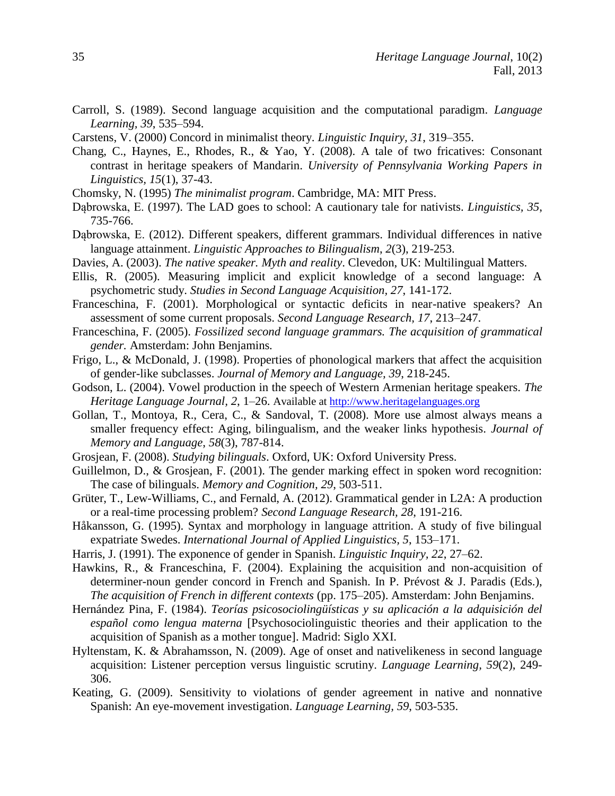- Carroll, S. (1989). Second language acquisition and the computational paradigm. *Language Learning, 39*, 535–594.
- Carstens, V. (2000) Concord in minimalist theory. *Linguistic Inquiry, 31*, 319–355.
- Chang, C., Haynes, E., Rhodes, R., & Yao, Y. (2008). A tale of two fricatives: Consonant contrast in heritage speakers of Mandarin. *University of Pennsylvania Working Papers in Linguistics, 15*(1), 37-43.
- Chomsky, N. (1995) *The minimalist program*. Cambridge, MA: MIT Press.
- Dąbrowska, E. (1997). The LAD goes to school: A cautionary tale for nativists. *Linguistics, 35*, 735-766.
- Dąbrowska, E. (2012). Different speakers, different grammars. Individual differences in native language attainment. *Linguistic Approaches to Bilingualism*, *2*(3), 219-253.
- Davies, A. (2003). *The native speaker. Myth and reality*. Clevedon, UK: Multilingual Matters.
- Ellis, R. (2005). Measuring implicit and explicit knowledge of a second language: A psychometric study. *Studies in Second Language Acquisition, 27*, 141-172.
- Franceschina, F. (2001). Morphological or syntactic deficits in near-native speakers? An assessment of some current proposals. *Second Language Research, 17*, 213–247.
- Franceschina, F. (2005). *Fossilized second language grammars. The acquisition of grammatical gender.* Amsterdam: John Benjamins*.*
- Frigo, L., & McDonald, J. (1998). Properties of phonological markers that affect the acquisition of gender-like subclasses. *Journal of Memory and Language, 39*, 218-245.
- Godson, L. (2004). Vowel production in the speech of Western Armenian heritage speakers. *The Heritage Language Journal, 2*, 1–26. Available at [http://www.heritagelanguages.org](http://www.heritagelanguages.org/)
- Gollan, T., Montoya, R., Cera, C., & Sandoval, T. (2008). More use almost always means a smaller frequency effect: Aging, bilingualism, and the weaker links hypothesis. *Journal of Memory and Language*, *58*(3), 787-814.
- Grosjean, F. (2008). *Studying bilinguals*. Oxford, UK: Oxford University Press.
- Guillelmon, D., & Grosjean, F. (2001). The gender marking effect in spoken word recognition: The case of bilinguals. *Memory and Cognition, 29*, 503-511.
- Grüter, T., Lew-Williams, C., and Fernald, A. (2012). Grammatical gender in L2A: A production or a real-time processing problem? *Second Language Research, 28*, 191-216.
- Håkansson, G. (1995). Syntax and morphology in language attrition. A study of five bilingual expatriate Swedes. *International Journal of Applied Linguistics, 5*, 153–171.
- Harris, J. (1991). The exponence of gender in Spanish. *Linguistic Inquiry, 22*, 27–62.
- Hawkins, R., & Franceschina, F. (2004). Explaining the acquisition and non-acquisition of determiner-noun gender concord in French and Spanish. In P. Prévost & J. Paradis (Eds.), *[The acquisition of French in different contexts](http://www.benjamins.com/cgi-bin/t_bookview.cgi?bookid=LALD%2032)* (pp. 175–205). Amsterdam: John Benjamins.
- Hernández Pina, F. (1984). *Teorías psicosociolingüísticas y su aplicación a la adquisición del español como lengua materna* [Psychosociolinguistic theories and their application to the acquisition of Spanish as a mother tongue]. Madrid: Siglo XXI.
- Hyltenstam, K. & Abrahamsson, N. (2009). Age of onset and nativelikeness in second language acquisition: Listener perception versus linguistic scrutiny. *Language Learning, 59*(2), 249- 306.
- Keating, G. (2009). Sensitivity to violations of gender agreement in native and nonnative Spanish: An eye-movement investigation. *Language Learning, 59*, 503-535.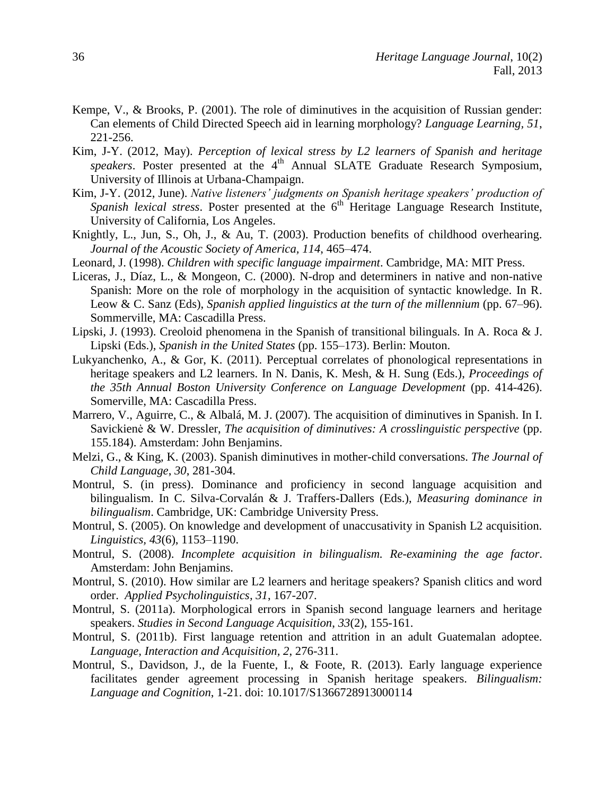- Kempe, V., & Brooks, P. (2001). The role of diminutives in the acquisition of Russian gender: Can elements of Child Directed Speech aid in learning morphology? *Language Learning, 51*, 221-256.
- Kim, J-Y. (2012, May). *Perception of lexical stress by L2 learners of Spanish and heritage*  speakers. Poster presented at the 4<sup>th</sup> Annual SLATE Graduate Research Symposium, University of Illinois at Urbana-Champaign.
- Kim, J-Y. (2012, June). *Native listeners' judgments on Spanish heritage speakers' production of Spanish lexical stress.* Poster presented at the 6<sup>th</sup> Heritage Language Research Institute, University of California, Los Angeles.
- Knightly, L., Jun, S., Oh, J., & Au, T. (2003). Production benefits of childhood overhearing. *Journal of the Acoustic Society of America, 114*, 465–474.
- Leonard, J. (1998). *Children with specific language impairment*. Cambridge, MA: MIT Press.
- Liceras, J., Díaz, L., & Mongeon, C. (2000). N-drop and determiners in native and non-native Spanish: More on the role of morphology in the acquisition of syntactic knowledge. In R. Leow & C. Sanz (Eds), *Spanish applied linguistics at the turn of the millennium* (pp. 67–96). Sommerville, MA: Cascadilla Press.
- Lipski, J. (1993). Creoloid phenomena in the Spanish of transitional bilinguals. In A. Roca & J. Lipski (Eds.), *Spanish in the United States* (pp. 155–173). Berlin: Mouton.
- Lukyanchenko, A., & Gor, K. (2011). Perceptual correlates of phonological representations in heritage speakers and L2 learners. In N. Danis, K. Mesh, & H. Sung (Eds.), *Proceedings of the 35th Annual Boston University Conference on Language Development* (pp. 414-426). Somerville, MA: Cascadilla Press.
- Marrero, V., Aguirre, C., & Albalá, M. J. (2007). The acquisition of diminutives in Spanish. In I. Savickienė & W. Dressler, *The acquisition of diminutives: A crosslinguistic perspective* (pp. 155.184). Amsterdam: John Benjamins.
- Melzi, G., & King, K. (2003). Spanish diminutives in mother-child conversations. *The Journal of Child Language*, *30*, 281-304.
- Montrul, S. (in press). Dominance and proficiency in second language acquisition and bilingualism. In C. Silva-Corvalán & J. Traffers-Dallers (Eds.), *Measuring dominance in bilingualism*. Cambridge, UK: Cambridge University Press.
- Montrul, S. (2005). On knowledge and development of unaccusativity in Spanish L2 acquisition. *Linguistics, 43*(6), 1153–1190.
- Montrul, S. (2008). *Incomplete acquisition in bilingualism. Re-examining the age factor*. Amsterdam: John Benjamins.
- Montrul, S. (2010). How similar are L2 learners and heritage speakers? Spanish clitics and word order. *Applied Psycholinguistics, 31*, 167-207.
- Montrul, S. (2011a). Morphological errors in Spanish second language learners and heritage speakers. *Studies in Second Language Acquisition*, *33*(2), 155-161.
- Montrul, S. (2011b). First language retention and attrition in an adult Guatemalan adoptee. *Language, Interaction and Acquisition, 2*, 276-311.
- Montrul, S., Davidson, J., de la Fuente, I., & Foote, R. (2013). Early language experience facilitates gender agreement processing in Spanish heritage speakers. *Bilingualism: Language and Cognition*, 1-21. doi: 10.1017/S1366728913000114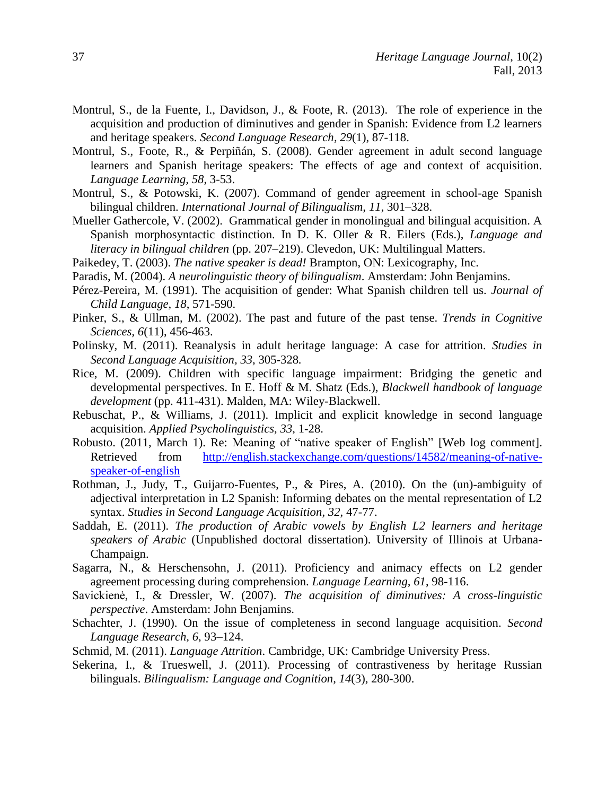- Montrul, S., de la Fuente, I., Davidson, J., & Foote, R. (2013). The role of experience in the acquisition and production of diminutives and gender in Spanish: Evidence from L2 learners and heritage speakers. *Second Language Research, 29*(1), 87-118.
- Montrul, S., Foote, R., & Perpiñán, S. (2008). Gender agreement in adult second language learners and Spanish heritage speakers: The effects of age and context of acquisition. *Language Learning, 58*, 3-53.
- Montrul, S., & Potowski, K. (2007). Command of gender agreement in school-age Spanish bilingual children. *International Journal of Bilingualism, 11*, 301–328.
- Mueller Gathercole, V. (2002). Grammatical gender in monolingual and bilingual acquisition. A Spanish morphosyntactic distinction. In D. K. Oller & R. Eilers (Eds.), *Language and literacy in bilingual children* (pp. 207–219). Clevedon, UK: Multilingual Matters.
- Paikedey, T. (2003). *The native speaker is dead!* Brampton, ON: Lexicography, Inc.
- Paradis, M. (2004). *A neurolinguistic theory of bilingualism*. Amsterdam: John Benjamins.
- Pérez-Pereira, M. (1991). The acquisition of gender: What Spanish children tell us. *Journal of Child Language, 18*, 571-590.
- Pinker, S., & Ullman, M. (2002). The past and future of the past tense. *Trends in Cognitive Sciences, 6*(11), 456-463.
- Polinsky, M. (2011). Reanalysis in adult heritage language: A case for attrition. *Studies in Second Language Acquisition, 33*, 305-328*.*
- Rice, M. (2009). Children with specific language impairment: Bridging the genetic and developmental perspectives. In E. Hoff & M. Shatz (Eds.), *Blackwell handbook of language development* (pp. 411-431). Malden, MA: Wiley-Blackwell.
- Rebuschat, P., & Williams, J. (2011). Implicit and explicit knowledge in second language acquisition. *Applied Psycholinguistics, 33*, 1-28.
- Robusto. (2011, March 1). Re: Meaning of "native speaker of English" [Web log comment]. Retrieved from [http://english.stackexchange.com/questions/14582/meaning-of-native](http://english.stackexchange.com/questions/14582/meaning-of-native-speaker-of-english)[speaker-of-english](http://english.stackexchange.com/questions/14582/meaning-of-native-speaker-of-english)
- Rothman, J., Judy, T., Guijarro-Fuentes, P., & Pires, A. (2010). On the (un)-ambiguity of adjectival interpretation in L2 Spanish: Informing debates on the mental representation of L2 syntax. *Studies in Second Language Acquisition, 32*, 47-77.
- Saddah, E. (2011). *The production of Arabic vowels by English L2 learners and heritage speakers of Arabic* (Unpublished doctoral dissertation). University of Illinois at Urbana-Champaign.
- Sagarra, N., & Herschensohn, J. (2011). Proficiency and animacy effects on L2 gender agreement processing during comprehension. *Language Learning, 61*, 98-116.
- Savickienė, I., & Dressler, W. (2007). *The acquisition of diminutives: A cross-linguistic perspective*. Amsterdam: John Benjamins.
- Schachter, J. (1990). On the issue of completeness in second language acquisition. *Second Language Research, 6*, 93–124.
- Schmid, M. (2011). *Language Attrition*. Cambridge, UK: Cambridge University Press.
- Sekerina, I., & Trueswell, J. (2011). Processing of contrastiveness by heritage Russian bilinguals. *Bilingualism: Language and Cognition, 14*(3), 280-300.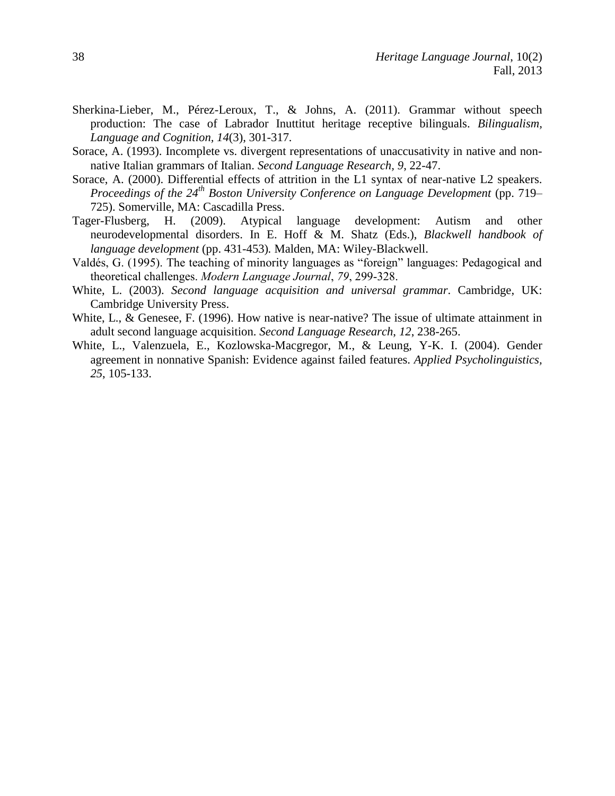- Sherkina-Lieber, M., Pérez-Leroux, T., & Johns, A. (2011). Grammar without speech production: The case of Labrador Inuttitut heritage receptive bilinguals. *Bilingualism, Language and Cognition, 14*(3), 301-317*.*
- Sorace, A. (1993). Incomplete vs. divergent representations of unaccusativity in native and nonnative Italian grammars of Italian. *Second Language Research, 9*, 22-47.
- Sorace, A. (2000). Differential effects of attrition in the L1 syntax of near-native L2 speakers. *Proceedings of the 24th Boston University Conference on Language Development* (pp. 719– 725). Somerville, MA: Cascadilla Press.
- Tager-Flusberg, H. (2009). Atypical language development: Autism and other neurodevelopmental disorders. In E. Hoff & M. Shatz (Eds.), *Blackwell handbook of language development* (pp. 431-453)*.* Malden, MA: Wiley-Blackwell.
- Valdés, G. (1995). The teaching of minority languages as "foreign" languages: Pedagogical and theoretical challenges. *Modern Language Journal*, *79*, 299-328.
- White, L. (2003). *Second language acquisition and universal grammar*. Cambridge, UK: Cambridge University Press.
- White, L., & Genesee, F. (1996). How native is near-native? The issue of ultimate attainment in adult second language acquisition. *Second Language Research*, *12*, 238-265.
- White, L., Valenzuela, E., Kozlowska-Macgregor, M., & Leung, Y-K. I. (2004). Gender agreement in nonnative Spanish: Evidence against failed features. *Applied Psycholinguistics, 25*, 105-133.